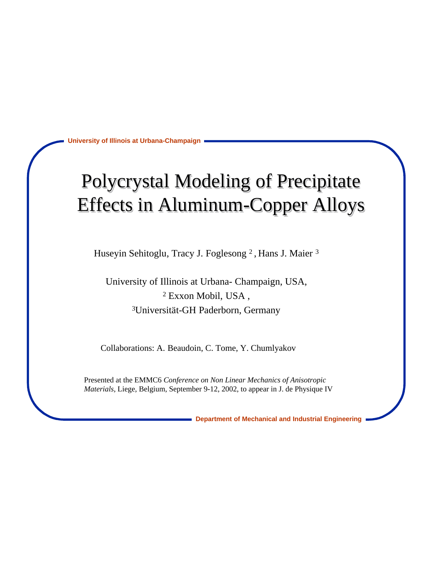## Polycrystal Modeling of Precipitate Effects in Aluminum-Copper Alloys

Huseyin Sehitoglu, Tracy J. Foglesong<sup>2</sup>, Hans J. Maier<sup>3</sup>

University of Illinois at Urbana- Champaign, USA, 2 Exxon Mobil, USA , <sup>3</sup>Universität-GH Paderborn, Germany

Collaborations: A. Beaudoin, C. Tome, Y. Chumlyakov

Presented at the EMMC6 *Conference on Non Linear Mechanics of Anisotropic Materials*, Liege, Belgium, September 9-12, 2002, to appear in J. de Physique IV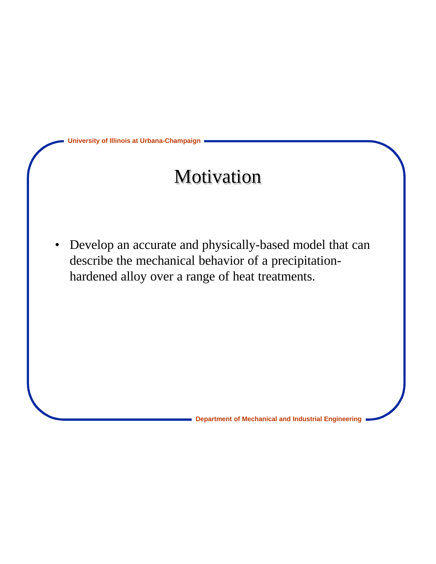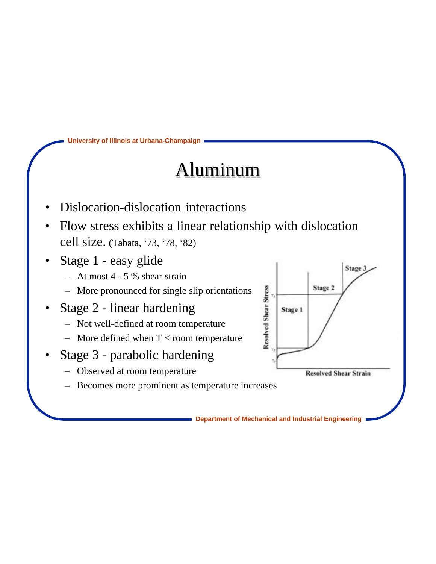#### Aluminum

- Dislocation-dislocation interactions
- Flow stress exhibits a linear relationship with dislocation cell size. (Tabata, '73, '78, '82)
- Stage 1 easy glide
	- At most 4 5 % shear strain
	- More pronounced for single slip orientations
- Stage 2 linear hardening
	- Not well-defined at room temperature
	- More defined when  $T <$  room temperature
- Stage 3 parabolic hardening
	- Observed at room temperature
	- Becomes more prominent as temperature increases

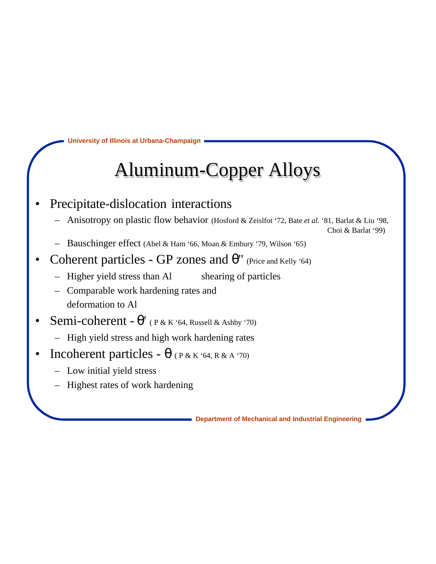# Aluminum-Copper Alloys

- Precipitate-dislocation interactions
	- Anisotropy on plastic flow behavior (Hosford & Zeislfot '72, Bate *et al.* '81, Barlat & Liu '98,

Choi & Barlat '99)

- Bauschinger effect (Abel & Ham '66, Moan & Embury '79, Wilson '65)
- Coherent particles GP zones and '' (Price and Kelly '64)
	- Higher yield stress than Al shearing of particles

– Comparable work hardening rates and deformation to Al

- Semi-coherent ' ( P & K '64, Russell & Ashby '70)
	- High yield stress and high work hardening rates
- Incoherent particles (P & K '64, R & A '70)
	- Low initial yield stress
	- Highest rates of work hardening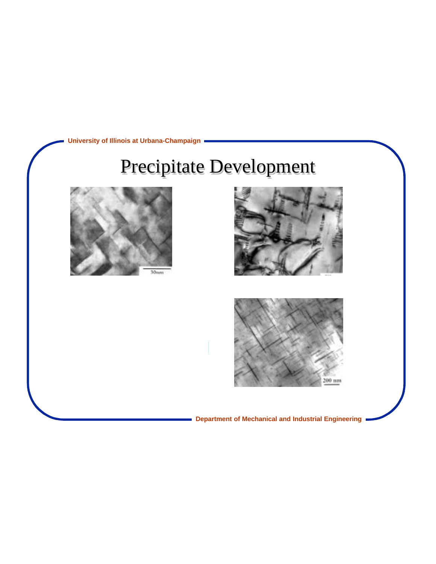

# Precipitate Development





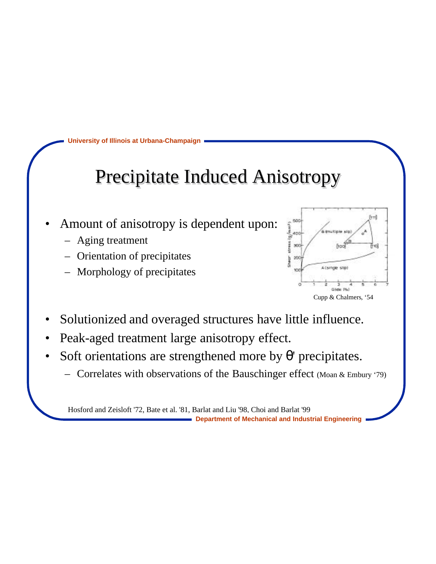#### Precipitate Induced Anisotropy

- Amount of anisotropy is dependent upon:
	- Aging treatment
	- Orientation of precipitates
	- Morphology of precipitates



- Solutionized and overaged structures have little influence.
- Peak-aged treatment large anisotropy effect.
- Soft orientations are strengthened more by 'precipitates.
	- Correlates with observations of the Bauschinger effect (Moan & Embury '79)

Hosford and Zeisloft '72, Bate et al. '81, Barlat and Liu '98, Choi and Barlat '99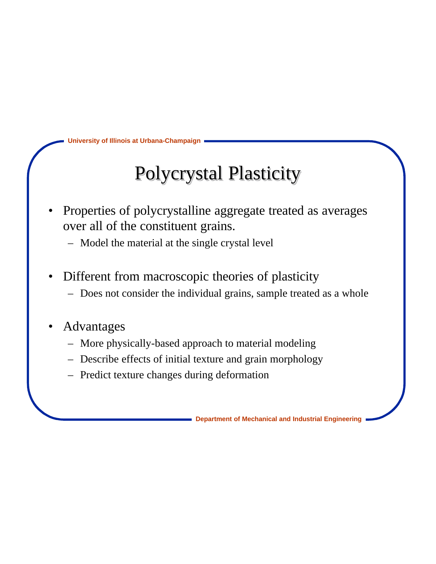### Polycrystal Plasticity

- Properties of polycrystalline aggregate treated as averages over all of the constituent grains.
	- Model the material at the single crystal level
- Different from macroscopic theories of plasticity
	- Does not consider the individual grains, sample treated as a whole
- **Advantages** 
	- More physically-based approach to material modeling
	- Describe effects of initial texture and grain morphology
	- Predict texture changes during deformation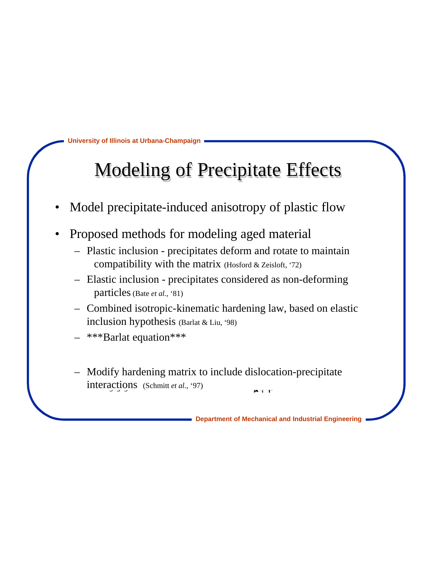# Modeling of Precipitate Effects

- Model precipitate-induced anisotropy of plastic flow
- Proposed methods for modeling aged material
	- Plastic inclusion precipitates deform and rotate to maintain compatibility with the matrix (Hosford & Zeisloft, '72)
	- Elastic inclusion precipitates considered as non-deforming particles (Bate *et al.*, '81)
	- Combined isotropic-kinematic hardening law, based on elastic inclusion hypothesis (Barlat & Liu, '98)
	- \*\*\*Barlat equation\*\*\*
	- Modify hardening matrix to include dislocation-precipitate  $\frac{\text{interactions}}{\text{exp}(1-\text{softmax}(t)}$  =  $\frac{\text{exp}(1-\text{softmax}(t))}{\text{exp}(1-\text{softmax}(t)}$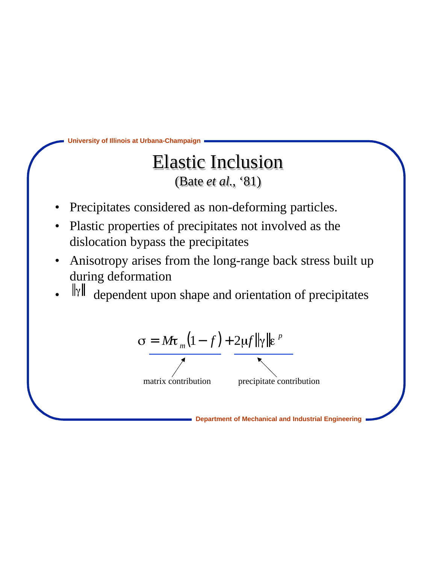

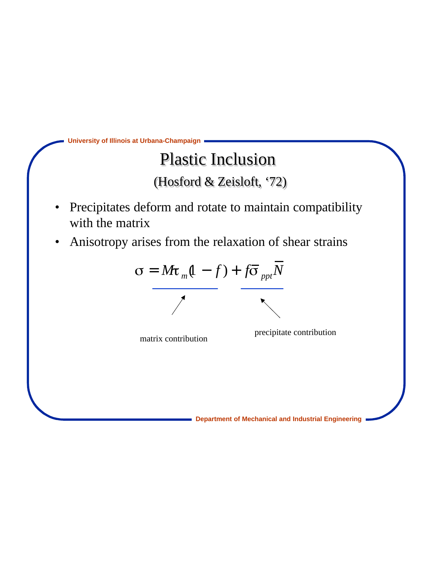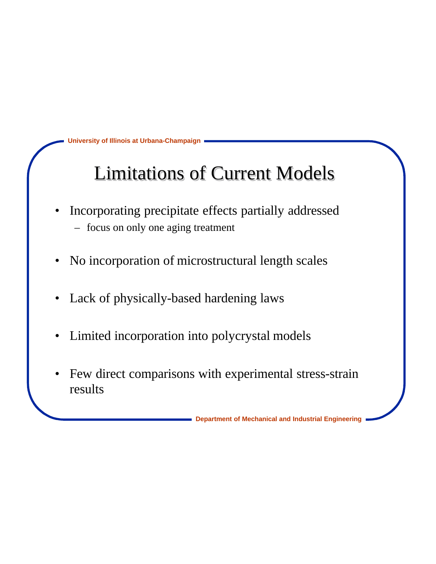### Limitations of Current Models

- Incorporating precipitate effects partially addressed – focus on only one aging treatment
- No incorporation of microstructural length scales
- Lack of physically-based hardening laws
- Limited incorporation into polycrystal models
- Few direct comparisons with experimental stress-strain results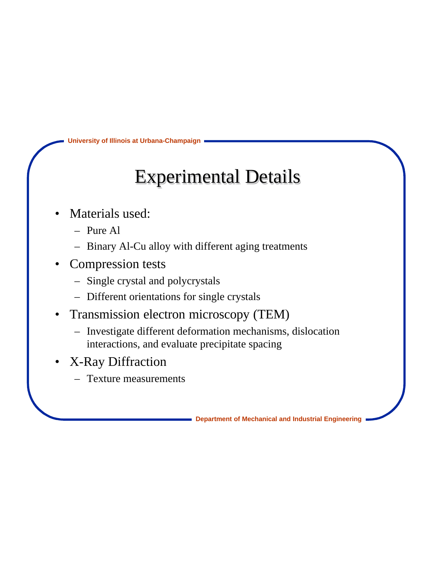#### Experimental Details

- Materials used:
	- Pure Al
	- Binary Al-Cu alloy with different aging treatments
- Compression tests
	- Single crystal and polycrystals
	- Different orientations for single crystals
- Transmission electron microscopy (TEM)
	- Investigate different deformation mechanisms, dislocation interactions, and evaluate precipitate spacing
- X-Ray Diffraction
	- Texture measurements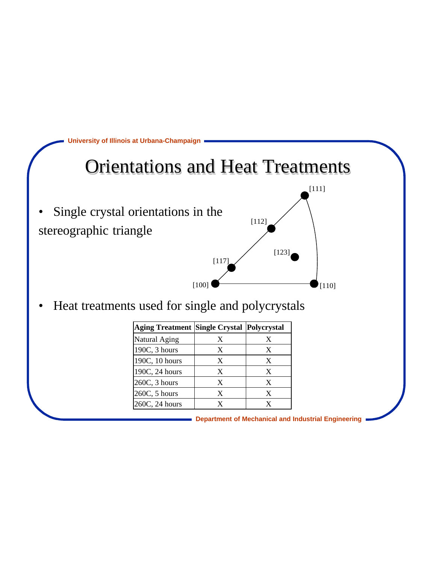

Heat treatments used for single and polycrystals

| Aging Treatment Single Crystal Polycrystal |   |   |
|--------------------------------------------|---|---|
| Natural Aging                              | X | X |
| 190C, 3 hours                              | X | X |
| 190C, 10 hours                             | X | X |
| 190C, 24 hours                             | X | X |
| 260C, 3 hours                              | X | X |
| 260C, 5 hours                              | X | X |
| 260C, 24 hours                             | Y | X |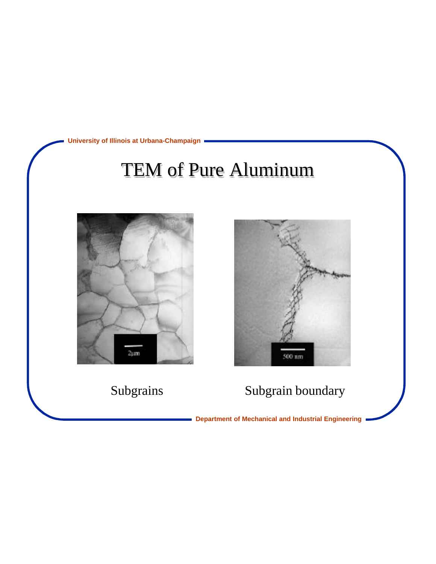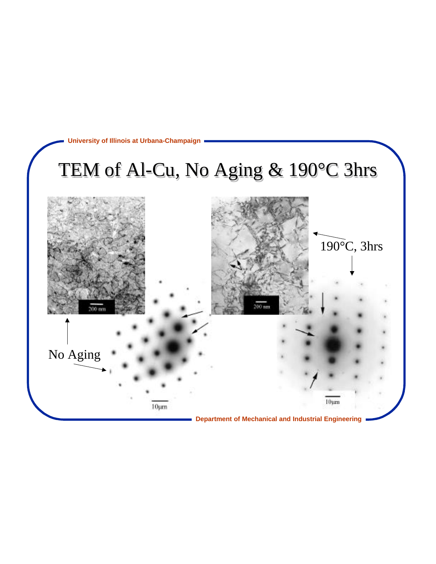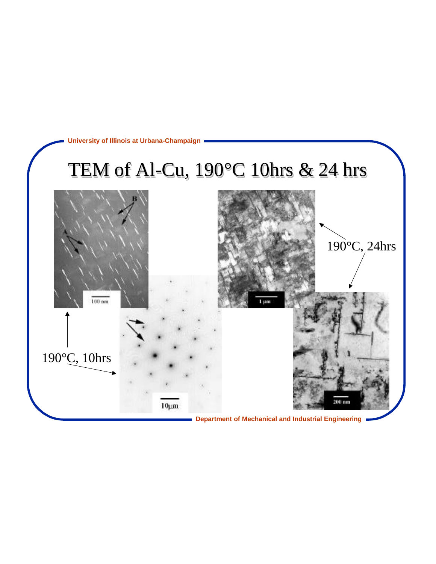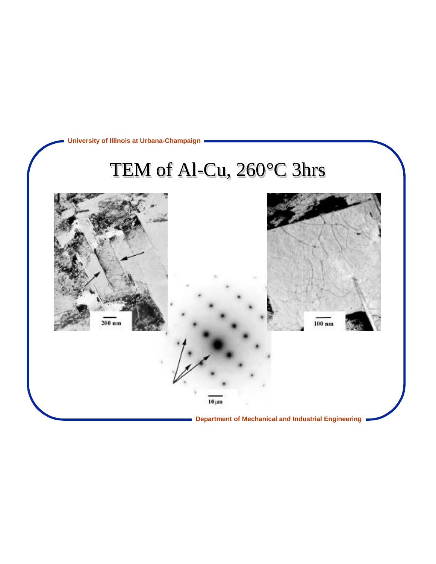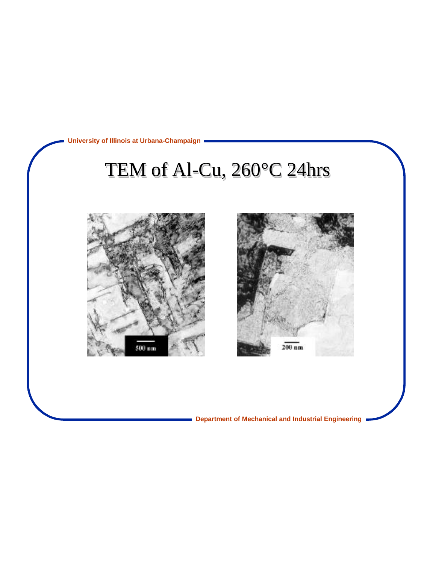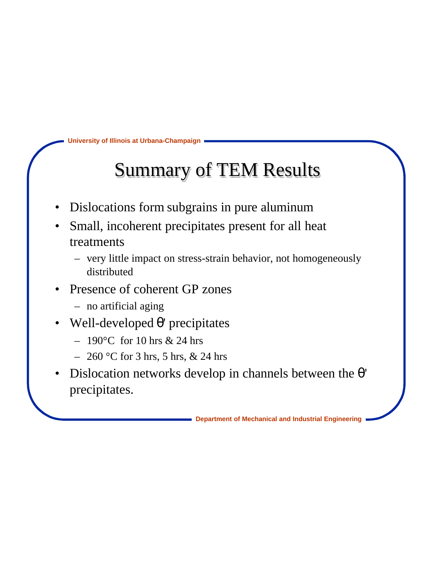### Summary of TEM Results

- Dislocations form subgrains in pure aluminum
- Small, incoherent precipitates present for all heat treatments
	- very little impact on stress-strain behavior, not homogeneously distributed
- Presence of coherent GP zones
	- no artificial aging
- Well-developed ' precipitates
	- $-190^{\circ}$ C for 10 hrs & 24 hrs
	- $-260$  °C for 3 hrs, 5 hrs, & 24 hrs
- Dislocation networks develop in channels between the precipitates.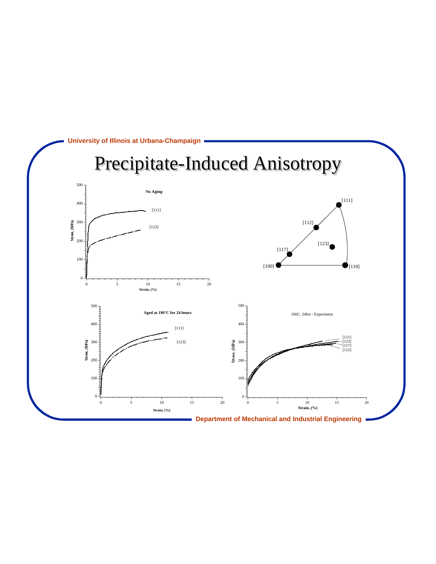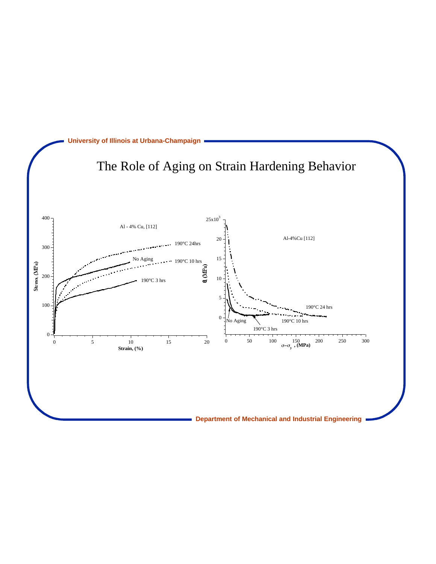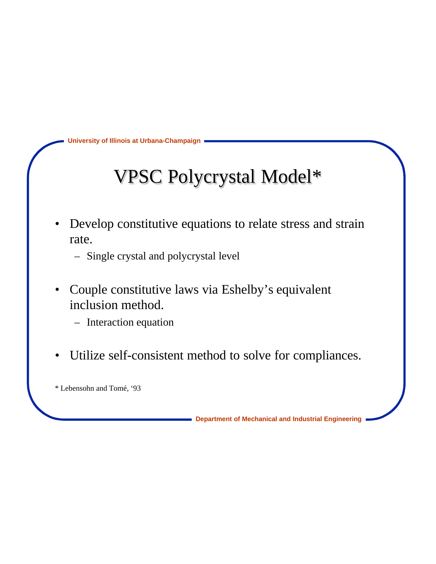## VPSC Polycrystal Model\*

- Develop constitutive equations to relate stress and strain rate.
	- Single crystal and polycrystal level
- Couple constitutive laws via Eshelby's equivalent inclusion method.
	- Interaction equation
- Utilize self-consistent method to solve for compliances.

\* Lebensohn and Tomé, '93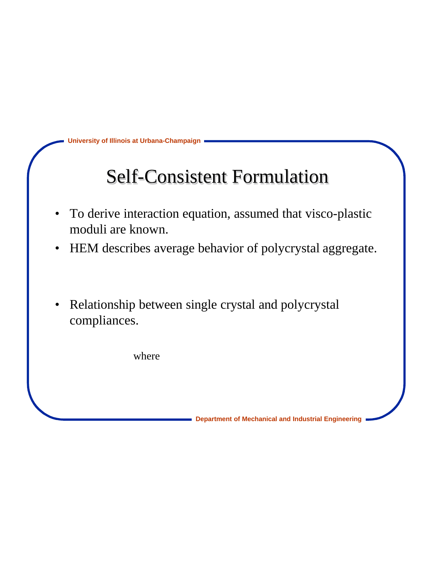#### Self-Consistent Formulation

- To derive interaction equation, assumed that visco-plastic moduli are known.
- HEM describes average behavior of polycrystal aggregate.
- Relationship between single crystal and polycrystal compliances.

where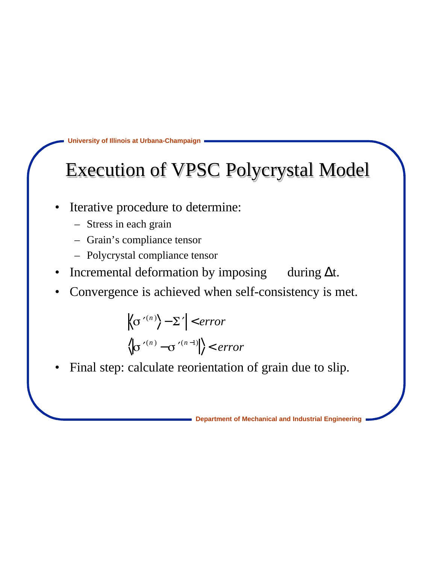#### Execution of VPSC Polycrystal Model

- Iterative procedure to determine:
	- Stress in each grain
	- Grain's compliance tensor
	- Polycrystal compliance tensor
- Incremental deformation by imposing during t.
- Convergence is achieved when self-consistency is met.

$$
\left\langle \sigma^{(n)} \right\rangle - \Sigma \mid < error
$$
  

$$
\left\langle \sigma^{(n)} - \sigma^{(n-1)} \right\rangle < error
$$

Final step: calculate reorientation of grain due to slip.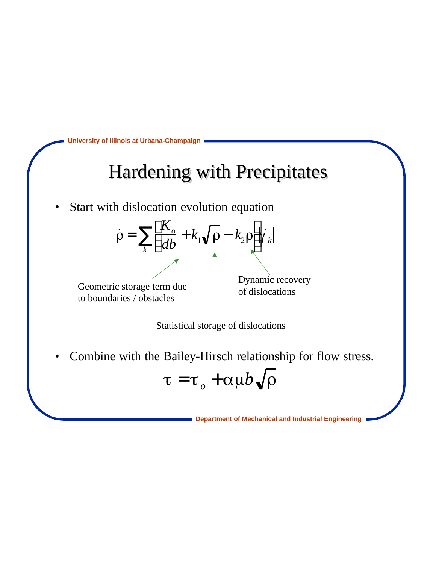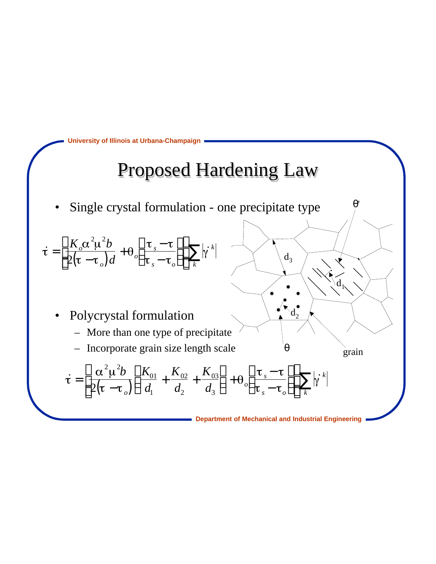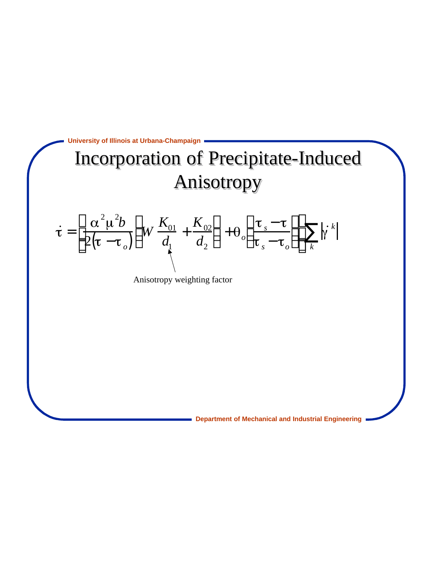

Anisotropy weighting factor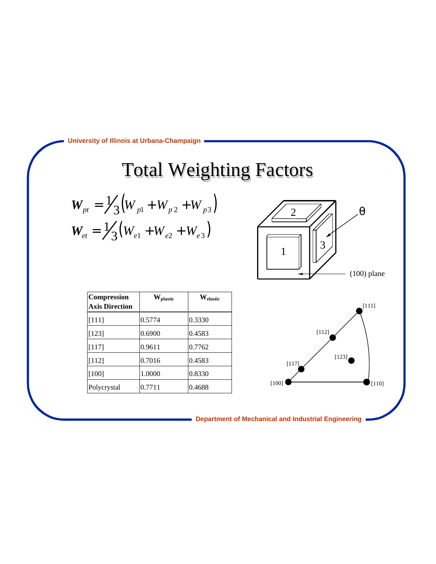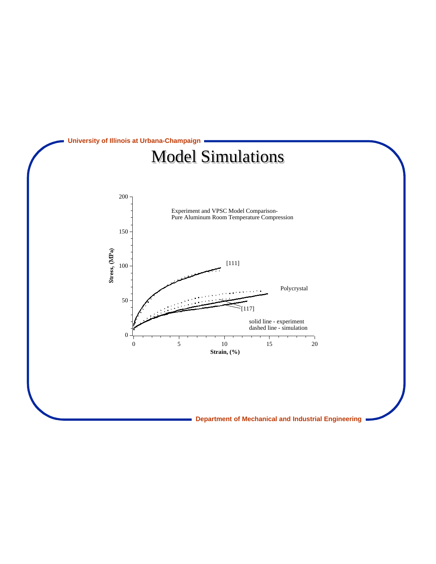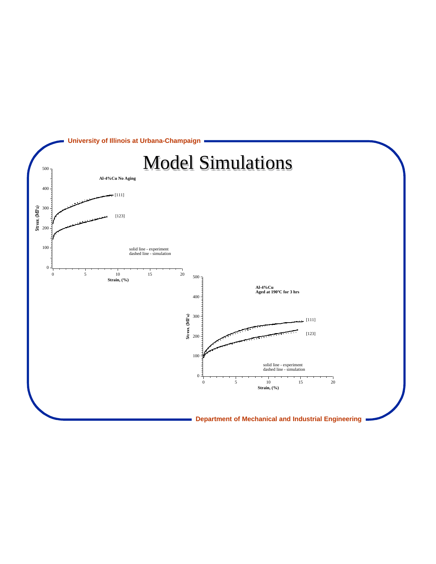